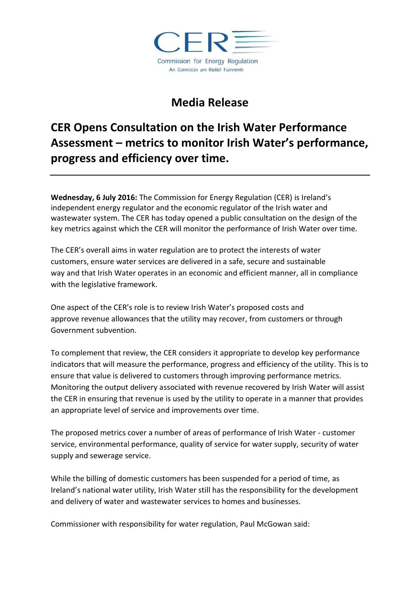

## **Media Release**

## **CER Opens Consultation on the Irish Water Performance Assessment – metrics to monitor Irish Water's performance, progress and efficiency over time.**

**Wednesday, 6 July 2016:** The Commission for Energy Regulation (CER) is Ireland's independent energy regulator and the economic regulator of the Irish water and wastewater system. The CER has today opened a public consultation on the design of the key metrics against which the CER will monitor the performance of Irish Water over time.

The CER's overall aims in water regulation are to protect the interests of water customers, ensure water services are delivered in a safe, secure and sustainable way and that Irish Water operates in an economic and efficient manner, all in compliance with the legislative framework.

One aspect of the CER's role is to review Irish Water's proposed costs and approve revenue allowances that the utility may recover, from customers or through Government subvention.

To complement that review, the CER considers it appropriate to develop key performance indicators that will measure the performance, progress and efficiency of the utility. This is to ensure that value is delivered to customers through improving performance metrics. Monitoring the output delivery associated with revenue recovered by Irish Water will assist the CER in ensuring that revenue is used by the utility to operate in a manner that provides an appropriate level of service and improvements over time.

The proposed metrics cover a number of areas of performance of Irish Water - customer service, environmental performance, quality of service for water supply, security of water supply and sewerage service.

While the billing of domestic customers has been suspended for a period of time, as Ireland's national water utility, Irish Water still has the responsibility for the development and delivery of water and wastewater services to homes and businesses.

Commissioner with responsibility for water regulation, Paul McGowan said: